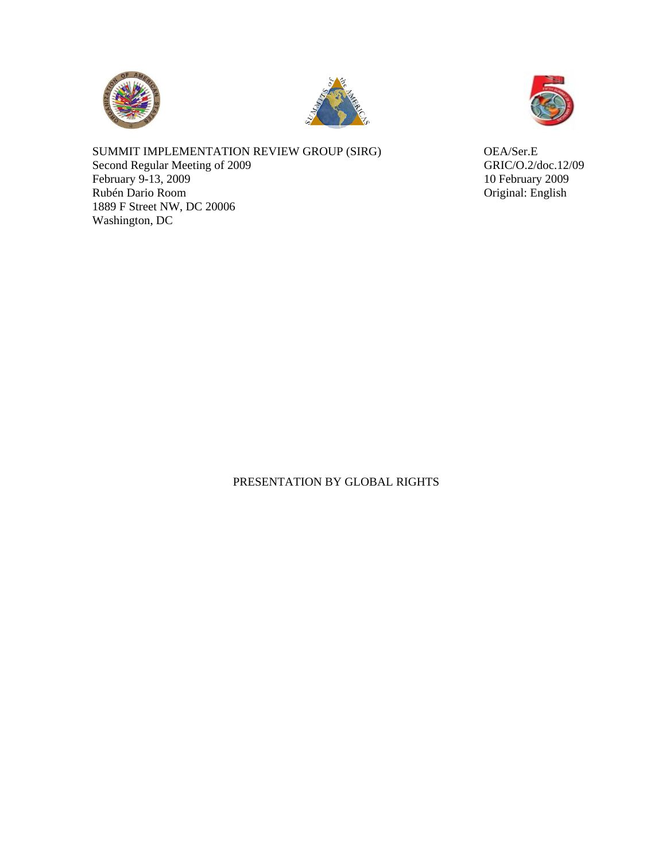





SUMMIT IMPLEMENTATION REVIEW GROUP (SIRG) OEA/Ser.E<br>Second Regular Meeting of 2009 GRIC/O.2/doc.12/09 Second Regular Meeting of 2009 February 9-13, 2009<br>
Rubén Dario Room (10 February 2009)<br>
Original: English Rubén Dario Room 1889 F Street NW, DC 20006 Washington, DC

## PRESENTATION BY GLOBAL RIGHTS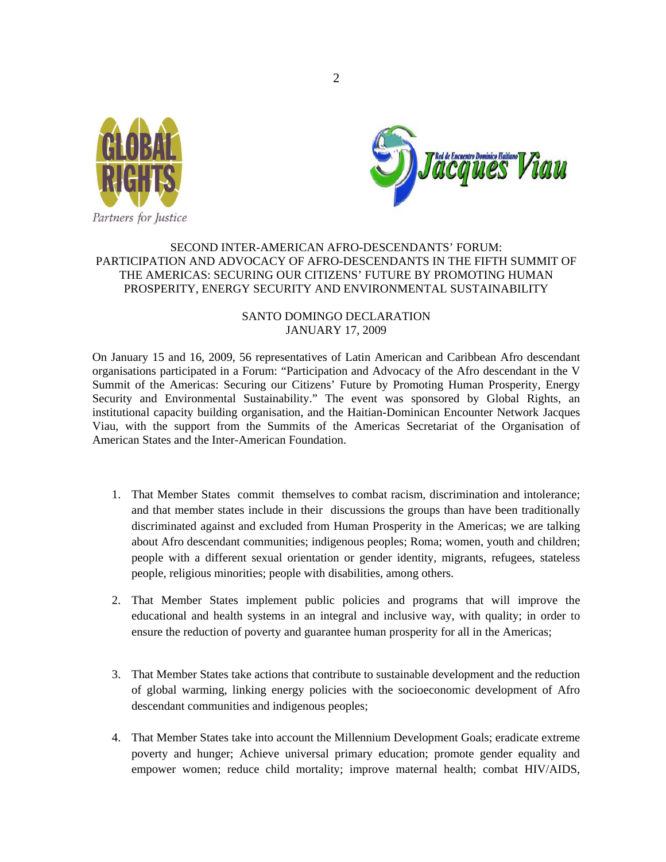



## SECOND INTER-AMERICAN AFRO-DESCENDANTS' FORUM: PARTICIPATION AND ADVOCACY OF AFRO-DESCENDANTS IN THE FIFTH SUMMIT OF THE AMERICAS: SECURING OUR CITIZENS' FUTURE BY PROMOTING HUMAN PROSPERITY, ENERGY SECURITY AND ENVIRONMENTAL SUSTAINABILITY

## SANTO DOMINGO DECLARATION JANUARY 17, 2009

On January 15 and 16, 2009, 56 representatives of Latin American and Caribbean Afro descendant organisations participated in a Forum: "Participation and Advocacy of the Afro descendant in the V Summit of the Americas: Securing our Citizens' Future by Promoting Human Prosperity, Energy Security and Environmental Sustainability." The event was sponsored by Global Rights, an institutional capacity building organisation, and the Haitian-Dominican Encounter Network Jacques Viau, with the support from the Summits of the Americas Secretariat of the Organisation of American States and the Inter-American Foundation.

- 1. That Member States commit themselves to combat racism, discrimination and intolerance; and that member states include in their discussions the groups than have been traditionally discriminated against and excluded from Human Prosperity in the Americas; we are talking about Afro descendant communities; indigenous peoples; Roma; women, youth and children; people with a different sexual orientation or gender identity, migrants, refugees, stateless people, religious minorities; people with disabilities, among others.
- 2. That Member States implement public policies and programs that will improve the educational and health systems in an integral and inclusive way, with quality; in order to ensure the reduction of poverty and guarantee human prosperity for all in the Americas;
- 3. That Member States take actions that contribute to sustainable development and the reduction of global warming, linking energy policies with the socioeconomic development of Afro descendant communities and indigenous peoples;
- 4. That Member States take into account the Millennium Development Goals; eradicate extreme poverty and hunger; Achieve universal primary education; promote gender equality and empower women; reduce child mortality; improve maternal health; combat HIV/AIDS,